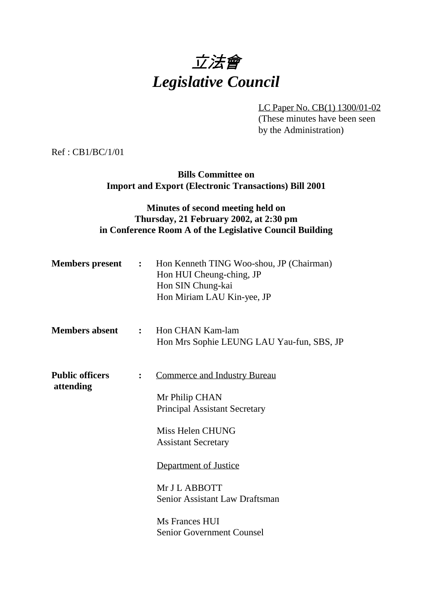

LC Paper No. CB(1) 1300/01-02 (These minutes have been seen by the Administration)

Ref : CB1/BC/1/01

**Bills Committee on Import and Export (Electronic Transactions) Bill 2001**

## **Minutes of second meeting held on Thursday, 21 February 2002, at 2:30 pm in Conference Room A of the Legislative Council Building**

|                        |              | <b>Members present :</b> Hon Kenneth TING Woo-shou, JP (Chairman)<br>Hon HUI Cheung-ching, JP<br>Hon SIN Chung-kai<br>Hon Miriam LAU Kin-yee, JP |
|------------------------|--------------|--------------------------------------------------------------------------------------------------------------------------------------------------|
| <b>Members absent</b>  | $\mathbf{r}$ | Hon CHAN Kam-lam<br>Hon Mrs Sophie LEUNG LAU Yau-fun, SBS, JP                                                                                    |
| <b>Public officers</b> |              | <b>Commerce and Industry Bureau</b>                                                                                                              |
| attending              |              | Mr Philip CHAN                                                                                                                                   |
|                        |              | <b>Principal Assistant Secretary</b>                                                                                                             |
|                        |              | Miss Helen CHUNG                                                                                                                                 |
|                        |              | <b>Assistant Secretary</b>                                                                                                                       |
|                        |              | Department of Justice                                                                                                                            |
|                        |              | Mr J L ABBOTT                                                                                                                                    |
|                        |              | Senior Assistant Law Draftsman                                                                                                                   |
|                        |              | Ms Frances HUI                                                                                                                                   |
|                        |              | <b>Senior Government Counsel</b>                                                                                                                 |
|                        |              |                                                                                                                                                  |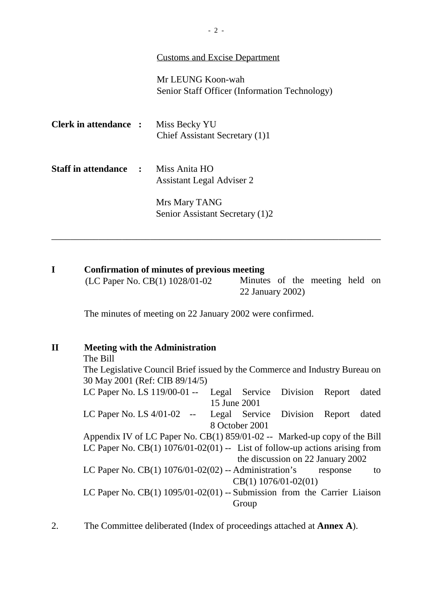#### Customs and Excise Department

Mr LEUNG Koon-wah Senior Staff Officer (Information Technology)

| <b>Clerk in attendance :</b>   | Miss Becky YU<br>Chief Assistant Secretary (1)1   |
|--------------------------------|---------------------------------------------------|
| <b>Staff in attendance : :</b> | Miss Anita HO<br><b>Assistant Legal Adviser 2</b> |
|                                | Mrs Mary TANG<br>Senior Assistant Secretary (1)2  |

### **I Confirmation of minutes of previous meeting**

 $(LC$  Paper No.  $CB(1)$  1028/01-02 — Minutes of the meeting held on 22 January 2002)

\_\_\_\_\_\_\_\_\_\_\_\_\_\_\_\_\_\_\_\_\_\_\_\_\_\_\_\_\_\_\_\_\_\_\_\_\_\_\_\_\_\_\_\_\_\_\_\_\_\_\_\_\_\_\_\_\_\_\_\_\_\_\_\_\_\_\_\_\_\_

The minutes of meeting on 22 January 2002 were confirmed.

#### **II Meeting with the Administration**

The Bill The Legislative Council Brief issued by the Commerce and Industry Bureau on 30 May 2001 (Ref: CIB 89/14/5) LC Paper No. LS 119/00-01 -- Legal Service Division Report dated 15 June 2001 LC Paper No. LS 4/01-02 -- Legal Service Division Report dated 8 October 2001 Appendix IV of LC Paper No. CB(1) 859/01-02 -- Marked-up copy of the Bill LC Paper No.  $CB(1)$  1076/01-02(01) -- List of follow-up actions arising from the discussion on 22 January 2002 LC Paper No.  $CB(1)$  1076/01-02(02) -- Administration's response to CB(1) 1076/01-02(01) LC Paper No. CB(1) 1095/01-02(01) -- Submission from the Carrier Liaison Group

2. The Committee deliberated (Index of proceedings attached at **Annex A**).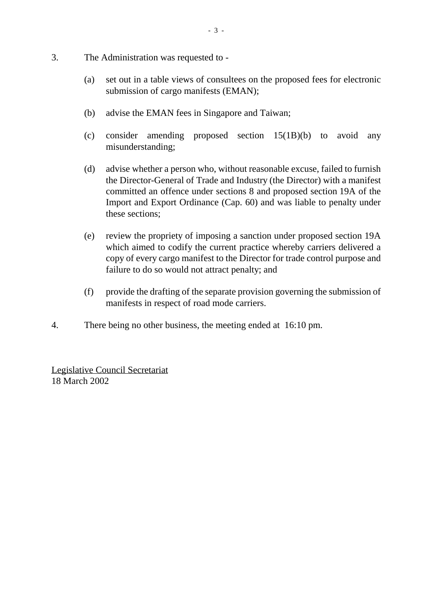- 3. The Administration was requested to
	- (a) set out in a table views of consultees on the proposed fees for electronic submission of cargo manifests (EMAN);
	- (b) advise the EMAN fees in Singapore and Taiwan;
	- (c) consider amending proposed section 15(1B)(b) to avoid any misunderstanding;
	- (d) advise whether a person who, without reasonable excuse, failed to furnish the Director-General of Trade and Industry (the Director) with a manifest committed an offence under sections 8 and proposed section 19A of the Import and Export Ordinance (Cap. 60) and was liable to penalty under these sections;
	- (e) review the propriety of imposing a sanction under proposed section 19A which aimed to codify the current practice whereby carriers delivered a copy of every cargo manifest to the Director for trade control purpose and failure to do so would not attract penalty; and
	- (f) provide the drafting of the separate provision governing the submission of manifests in respect of road mode carriers.
- 4. There being no other business, the meeting ended at 16:10 pm.

Legislative Council Secretariat 18 March 2002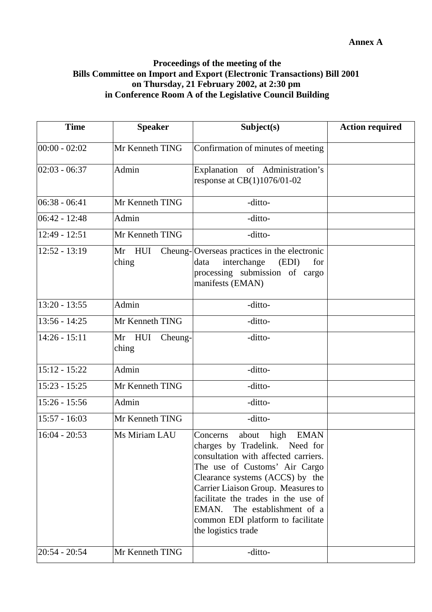## **Proceedings of the meeting of the Bills Committee on Import and Export (Electronic Transactions) Bill 2001 on Thursday, 21 February 2002, at 2:30 pm in Conference Room A of the Legislative Council Building**

| <b>Time</b>     | <b>Speaker</b>             | Subject(s)                                                                                                                                                                                                                                                                                                                                                         | <b>Action required</b> |
|-----------------|----------------------------|--------------------------------------------------------------------------------------------------------------------------------------------------------------------------------------------------------------------------------------------------------------------------------------------------------------------------------------------------------------------|------------------------|
| $00:00 - 02:02$ | Mr Kenneth TING            | Confirmation of minutes of meeting                                                                                                                                                                                                                                                                                                                                 |                        |
| $02:03 - 06:37$ | Admin                      | Explanation of Administration's<br>response at $CB(1)1076/01-02$                                                                                                                                                                                                                                                                                                   |                        |
| $06:38 - 06:41$ | Mr Kenneth TING            | -ditto-                                                                                                                                                                                                                                                                                                                                                            |                        |
| $06:42 - 12:48$ | Admin                      | -ditto-                                                                                                                                                                                                                                                                                                                                                            |                        |
| $12:49 - 12:51$ | Mr Kenneth TING            | -ditto-                                                                                                                                                                                                                                                                                                                                                            |                        |
| $12:52 - 13:19$ | Mr HUI<br>ching            | Cheung-Overseas practices in the electronic<br>interchange<br>data<br>(EDI)<br>for<br>processing submission of cargo<br>manifests (EMAN)                                                                                                                                                                                                                           |                        |
| $13:20 - 13:55$ | Admin                      | -ditto-                                                                                                                                                                                                                                                                                                                                                            |                        |
| $13:56 - 14:25$ | Mr Kenneth TING            | -ditto-                                                                                                                                                                                                                                                                                                                                                            |                        |
| $14:26 - 15:11$ | Mr HUI<br>Cheung-<br>ching | -ditto-                                                                                                                                                                                                                                                                                                                                                            |                        |
| $15:12 - 15:22$ | Admin                      | -ditto-                                                                                                                                                                                                                                                                                                                                                            |                        |
| $15:23 - 15:25$ | Mr Kenneth TING            | -ditto-                                                                                                                                                                                                                                                                                                                                                            |                        |
| $15:26 - 15:56$ | Admin                      | -ditto-                                                                                                                                                                                                                                                                                                                                                            |                        |
| $15:57 - 16:03$ | Mr Kenneth TING            | -ditto-                                                                                                                                                                                                                                                                                                                                                            |                        |
| $16:04 - 20:53$ | Ms Miriam LAU              | Concerns<br>about<br>high<br><b>EMAN</b><br>charges by Tradelink. Need for<br>consultation with affected carriers.<br>The use of Customs' Air Cargo<br>Clearance systems (ACCS) by the<br>Carrier Liaison Group. Measures to<br>facilitate the trades in the use of<br>The establishment of a<br>EMAN.<br>common EDI platform to facilitate<br>the logistics trade |                        |
| $20:54 - 20:54$ | Mr Kenneth TING            | -ditto-                                                                                                                                                                                                                                                                                                                                                            |                        |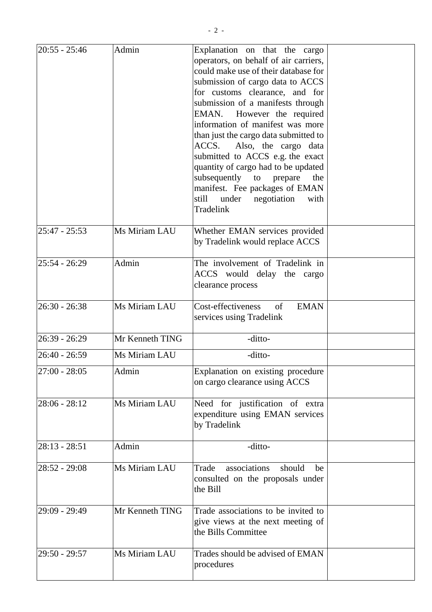| $ 20:55 - 25:46$ | Admin           | Explanation on that the cargo<br>operators, on behalf of air carriers,<br>could make use of their database for<br>submission of cargo data to ACCS<br>for customs clearance, and for<br>submission of a manifests through<br>EMAN. However the required<br>information of manifest was more<br>than just the cargo data submitted to<br>Also, the cargo data<br>ACCS.<br>submitted to ACCS e.g. the exact<br>quantity of cargo had to be updated<br>subsequently<br>to<br>prepare<br>the<br>manifest. Fee packages of EMAN<br>still<br>under<br>negotiation<br>with<br>Tradelink |  |
|------------------|-----------------|----------------------------------------------------------------------------------------------------------------------------------------------------------------------------------------------------------------------------------------------------------------------------------------------------------------------------------------------------------------------------------------------------------------------------------------------------------------------------------------------------------------------------------------------------------------------------------|--|
| $25:47 - 25:53$  | Ms Miriam LAU   | Whether EMAN services provided<br>by Tradelink would replace ACCS                                                                                                                                                                                                                                                                                                                                                                                                                                                                                                                |  |
| $25:54 - 26:29$  | Admin           | The involvement of Tradelink in<br>ACCS would delay the cargo<br>clearance process                                                                                                                                                                                                                                                                                                                                                                                                                                                                                               |  |
| $26:30 - 26:38$  | Ms Miriam LAU   | Cost-effectiveness<br><b>EMAN</b><br>of<br>services using Tradelink                                                                                                                                                                                                                                                                                                                                                                                                                                                                                                              |  |
| $26:39 - 26:29$  | Mr Kenneth TING | -ditto-                                                                                                                                                                                                                                                                                                                                                                                                                                                                                                                                                                          |  |
| 26:40 - 26:59    | Ms Miriam LAU   | -ditto-                                                                                                                                                                                                                                                                                                                                                                                                                                                                                                                                                                          |  |
| $27:00 - 28:05$  | Admin           | Explanation on existing procedure<br>on cargo clearance using ACCS                                                                                                                                                                                                                                                                                                                                                                                                                                                                                                               |  |
| $28:06 - 28:12$  | Ms Miriam LAU   | Need for justification of extra<br>expenditure using EMAN services<br>by Tradelink                                                                                                                                                                                                                                                                                                                                                                                                                                                                                               |  |
| $ 28:13 - 28:51$ | Admin           | -ditto-                                                                                                                                                                                                                                                                                                                                                                                                                                                                                                                                                                          |  |
| $28:52 - 29:08$  | Ms Miriam LAU   | Trade<br>associations<br>should<br>be<br>consulted on the proposals under<br>the Bill                                                                                                                                                                                                                                                                                                                                                                                                                                                                                            |  |
| 29:09 - 29:49    | Mr Kenneth TING | Trade associations to be invited to<br>give views at the next meeting of<br>the Bills Committee                                                                                                                                                                                                                                                                                                                                                                                                                                                                                  |  |
| 29:50 - 29:57    | Ms Miriam LAU   | Trades should be advised of EMAN<br>procedures                                                                                                                                                                                                                                                                                                                                                                                                                                                                                                                                   |  |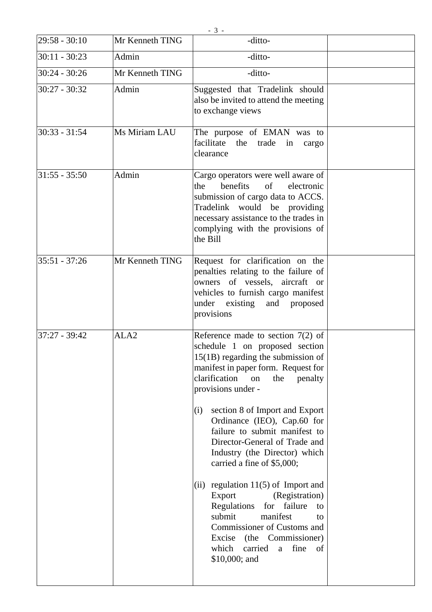|                 |                  | $-3-$                                                                                                                                                                                                                                                                                                                                                                                                                                                                                                                                                                                                                                                                                    |  |
|-----------------|------------------|------------------------------------------------------------------------------------------------------------------------------------------------------------------------------------------------------------------------------------------------------------------------------------------------------------------------------------------------------------------------------------------------------------------------------------------------------------------------------------------------------------------------------------------------------------------------------------------------------------------------------------------------------------------------------------------|--|
| $29:58 - 30:10$ | Mr Kenneth TING  | -ditto-                                                                                                                                                                                                                                                                                                                                                                                                                                                                                                                                                                                                                                                                                  |  |
| $30:11 - 30:23$ | Admin            | -ditto-                                                                                                                                                                                                                                                                                                                                                                                                                                                                                                                                                                                                                                                                                  |  |
| $30:24 - 30:26$ | Mr Kenneth TING  | -ditto-                                                                                                                                                                                                                                                                                                                                                                                                                                                                                                                                                                                                                                                                                  |  |
| $30:27 - 30:32$ | Admin            | Suggested that Tradelink should<br>also be invited to attend the meeting<br>to exchange views                                                                                                                                                                                                                                                                                                                                                                                                                                                                                                                                                                                            |  |
| $30:33 - 31:54$ | Ms Miriam LAU    | The purpose of EMAN was to<br>facilitate the<br>trade<br>in<br>cargo<br>clearance                                                                                                                                                                                                                                                                                                                                                                                                                                                                                                                                                                                                        |  |
| $31:55 - 35:50$ | Admin            | Cargo operators were well aware of<br>the<br>benefits<br>$\sigma f$<br>electronic<br>submission of cargo data to ACCS.<br>Tradelink would be providing<br>necessary assistance to the trades in<br>complying with the provisions of<br>the Bill                                                                                                                                                                                                                                                                                                                                                                                                                                          |  |
| $35:51 - 37:26$ | Mr Kenneth TING  | Request for clarification on the<br>penalties relating to the failure of<br>owners of vessels, aircraft or<br>vehicles to furnish cargo manifest<br>existing and proposed<br>under<br>provisions                                                                                                                                                                                                                                                                                                                                                                                                                                                                                         |  |
| $37:27 - 39:42$ | ALA <sub>2</sub> | Reference made to section $7(2)$ of<br>schedule 1 on proposed section<br>$15(1B)$ regarding the submission of<br>manifest in paper form. Request for<br>clarification<br>the<br>penalty<br>on<br>provisions under -<br>section 8 of Import and Export<br>(i)<br>Ordinance (IEO), Cap.60 for<br>failure to submit manifest to<br>Director-General of Trade and<br>Industry (the Director) which<br>carried a fine of \$5,000;<br>regulation $11(5)$ of Import and<br>(ii)<br>Export<br>(Registration)<br>Regulations<br>for failure<br>to<br>submit<br>manifest<br>to<br>Commissioner of Customs and<br>Excise (the Commissioner)<br>which<br>carried<br>fine<br>of<br>a<br>\$10,000; and |  |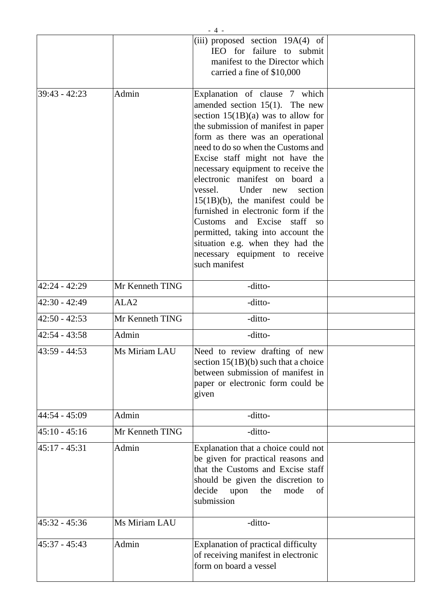|                 |                  | $-4-$                                                                                                                                                                                                                                                                                                                                                                                                                                                                                                                                                                                                               |  |
|-----------------|------------------|---------------------------------------------------------------------------------------------------------------------------------------------------------------------------------------------------------------------------------------------------------------------------------------------------------------------------------------------------------------------------------------------------------------------------------------------------------------------------------------------------------------------------------------------------------------------------------------------------------------------|--|
|                 |                  | (iii) proposed section 19A(4) of<br>IEO for failure to submit<br>manifest to the Director which<br>carried a fine of \$10,000                                                                                                                                                                                                                                                                                                                                                                                                                                                                                       |  |
| $39:43 - 42:23$ | Admin            | Explanation of clause 7 which<br>amended section $15(1)$ . The new<br>section $15(1B)(a)$ was to allow for<br>the submission of manifest in paper<br>form as there was an operational<br>need to do so when the Customs and<br>Excise staff might not have the<br>necessary equipment to receive the<br>electronic manifest on board a<br>vessel.<br>Under new<br>section<br>$15(1B)(b)$ , the manifest could be<br>furnished in electronic form if the<br>Customs and Excise staff so<br>permitted, taking into account the<br>situation e.g. when they had the<br>necessary equipment to receive<br>such manifest |  |
| 42:24 - 42:29   | Mr Kenneth TING  | -ditto-                                                                                                                                                                                                                                                                                                                                                                                                                                                                                                                                                                                                             |  |
| 42:30 - 42:49   | ALA <sub>2</sub> | -ditto-                                                                                                                                                                                                                                                                                                                                                                                                                                                                                                                                                                                                             |  |
| $42:50 - 42:53$ | Mr Kenneth TING  | -ditto-                                                                                                                                                                                                                                                                                                                                                                                                                                                                                                                                                                                                             |  |
| $42:54 - 43:58$ | Admin            | -ditto-                                                                                                                                                                                                                                                                                                                                                                                                                                                                                                                                                                                                             |  |
| 43:59 - 44:53   | Ms Miriam LAU    | Need to review drafting of new<br>section $15(1B)(b)$ such that a choice<br>between submission of manifest in<br>paper or electronic form could be<br>given                                                                                                                                                                                                                                                                                                                                                                                                                                                         |  |
| 44:54 - 45:09   | Admin            | -ditto-                                                                                                                                                                                                                                                                                                                                                                                                                                                                                                                                                                                                             |  |
| $45:10 - 45:16$ | Mr Kenneth TING  | -ditto-                                                                                                                                                                                                                                                                                                                                                                                                                                                                                                                                                                                                             |  |
| $45:17 - 45:31$ | Admin            | Explanation that a choice could not<br>be given for practical reasons and<br>that the Customs and Excise staff<br>should be given the discretion to<br>decide<br>upon<br>the<br>mode<br>of<br>submission                                                                                                                                                                                                                                                                                                                                                                                                            |  |
| 45:32 - 45:36   | Ms Miriam LAU    | -ditto-                                                                                                                                                                                                                                                                                                                                                                                                                                                                                                                                                                                                             |  |
| 45:37 - 45:43   | Admin            | Explanation of practical difficulty<br>of receiving manifest in electronic<br>form on board a vessel                                                                                                                                                                                                                                                                                                                                                                                                                                                                                                                |  |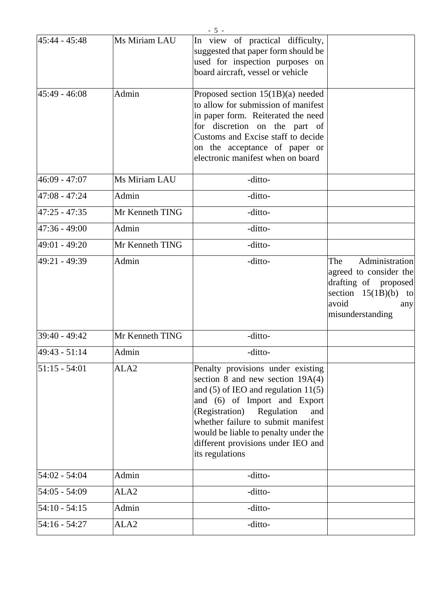| 45:44 - 45:48   | Ms Miriam LAU    | In view of practical difficulty,<br>suggested that paper form should be<br>used for inspection purposes on<br>board aircraft, vessel or vehicle                                                                                                                                                                                  |                                                                                                                                       |
|-----------------|------------------|----------------------------------------------------------------------------------------------------------------------------------------------------------------------------------------------------------------------------------------------------------------------------------------------------------------------------------|---------------------------------------------------------------------------------------------------------------------------------------|
| $45:49 - 46:08$ | Admin            | Proposed section 15(1B)(a) needed<br>to allow for submission of manifest<br>in paper form. Reiterated the need<br>for discretion on the part of<br>Customs and Excise staff to decide<br>on the acceptance of paper or<br>electronic manifest when on board                                                                      |                                                                                                                                       |
| 46:09 - 47:07   | Ms Miriam LAU    | -ditto-                                                                                                                                                                                                                                                                                                                          |                                                                                                                                       |
| 47:08 - 47:24   | Admin            | -ditto-                                                                                                                                                                                                                                                                                                                          |                                                                                                                                       |
| $47:25 - 47:35$ | Mr Kenneth TING  | -ditto-                                                                                                                                                                                                                                                                                                                          |                                                                                                                                       |
| $47:36 - 49:00$ | Admin            | -ditto-                                                                                                                                                                                                                                                                                                                          |                                                                                                                                       |
| 49:01 - 49:20   | Mr Kenneth TING  | -ditto-                                                                                                                                                                                                                                                                                                                          |                                                                                                                                       |
| 49:21 - 49:39   | Admin            | -ditto-                                                                                                                                                                                                                                                                                                                          | Administration<br>The<br>agreed to consider the<br>drafting of proposed<br>section $15(1B)(b)$ to<br>avoid<br>any<br>misunderstanding |
| 39:40 - 49:42   | Mr Kenneth TING  | -ditto-                                                                                                                                                                                                                                                                                                                          |                                                                                                                                       |
| 49:43 - 51:14   | Admin            | -ditto-                                                                                                                                                                                                                                                                                                                          |                                                                                                                                       |
| 51:15 - 54:01   | ALA <sub>2</sub> | Penalty provisions under existing<br>section 8 and new section $19A(4)$<br>and $(5)$ of IEO and regulation $11(5)$<br>and (6) of Import and Export<br>(Registration)<br>Regulation<br>and<br>whether failure to submit manifest<br>would be liable to penalty under the<br>different provisions under IEO and<br>its regulations |                                                                                                                                       |
| 54:02 - 54:04   | Admin            | -ditto-                                                                                                                                                                                                                                                                                                                          |                                                                                                                                       |
| $54:05 - 54:09$ | ALA2             | -ditto-                                                                                                                                                                                                                                                                                                                          |                                                                                                                                       |
| $54:10 - 54:15$ | Admin            | -ditto-                                                                                                                                                                                                                                                                                                                          |                                                                                                                                       |
| $54:16 - 54:27$ | ALA <sub>2</sub> | -ditto-                                                                                                                                                                                                                                                                                                                          |                                                                                                                                       |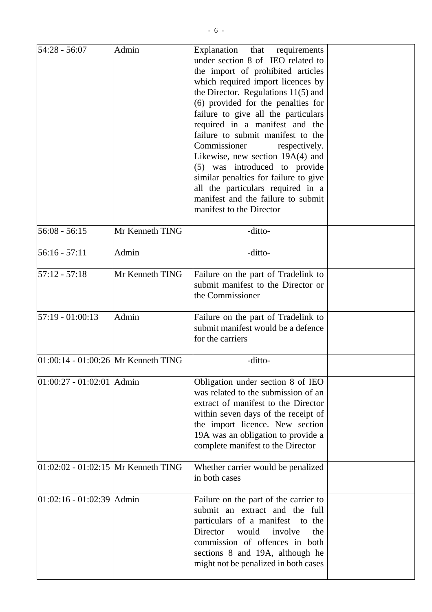| $54:28 - 56:07$                       | Admin           | Explanation<br>that requirements<br>under section 8 of IEO related to<br>the import of prohibited articles<br>which required import licences by<br>the Director. Regulations $11(5)$ and<br>(6) provided for the penalties for<br>failure to give all the particulars<br>required in a manifest and the<br>failure to submit manifest to the<br>Commissioner<br>respectively.<br>Likewise, new section 19A(4) and<br>(5) was introduced to provide<br>similar penalties for failure to give<br>all the particulars required in a<br>manifest and the failure to submit<br>manifest to the Director |  |
|---------------------------------------|-----------------|----------------------------------------------------------------------------------------------------------------------------------------------------------------------------------------------------------------------------------------------------------------------------------------------------------------------------------------------------------------------------------------------------------------------------------------------------------------------------------------------------------------------------------------------------------------------------------------------------|--|
| $56:08 - 56:15$                       | Mr Kenneth TING | -ditto-                                                                                                                                                                                                                                                                                                                                                                                                                                                                                                                                                                                            |  |
| $56:16 - 57:11$                       | Admin           | -ditto-                                                                                                                                                                                                                                                                                                                                                                                                                                                                                                                                                                                            |  |
| $57:12 - 57:18$                       | Mr Kenneth TING | Failure on the part of Tradelink to<br>submit manifest to the Director or<br>the Commissioner                                                                                                                                                                                                                                                                                                                                                                                                                                                                                                      |  |
| $ 57:19 - 01:00:13$                   | Admin           | Failure on the part of Tradelink to<br>submit manifest would be a defence<br>for the carriers                                                                                                                                                                                                                                                                                                                                                                                                                                                                                                      |  |
| 01:00:14 - 01:00:26 Mr Kenneth TING   |                 | -ditto-                                                                                                                                                                                                                                                                                                                                                                                                                                                                                                                                                                                            |  |
| $ 01:00:27 - 01:02:01 $ Admin         |                 | Obligation under section 8 of IEO<br>was related to the submission of an<br>extract of manifest to the Director<br>within seven days of the receipt of<br>the import licence. New section<br>19A was an obligation to provide a<br>complete manifest to the Director                                                                                                                                                                                                                                                                                                                               |  |
| $01:02:02 - 01:02:15$ Mr Kenneth TING |                 | Whether carrier would be penalized<br>in both cases                                                                                                                                                                                                                                                                                                                                                                                                                                                                                                                                                |  |
| $ 01:02:16 - 01:02:39 $ Admin         |                 | Failure on the part of the carrier to<br>submit an extract and the full<br>particulars of a manifest to the<br>would<br>involve<br>Director<br>the<br>commission of offences in both<br>sections 8 and 19A, although he<br>might not be penalized in both cases                                                                                                                                                                                                                                                                                                                                    |  |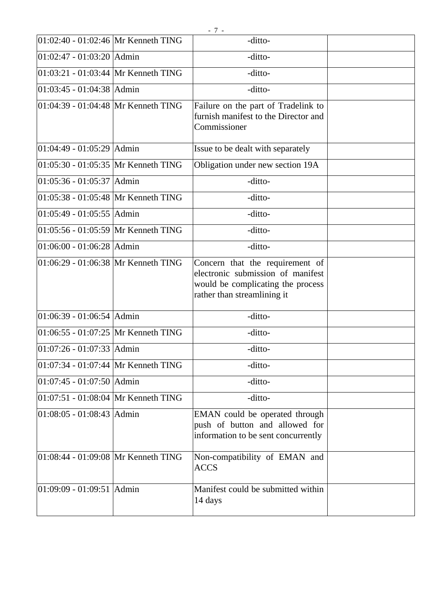| $[01:02:40 - 01:02:46]$ Mr Kenneth TING | -ditto-                                                                                                                                  |  |
|-----------------------------------------|------------------------------------------------------------------------------------------------------------------------------------------|--|
| $01:02:47 - 01:03:20$ Admin             | -ditto-                                                                                                                                  |  |
| 01:03:21 - 01:03:44 Mr Kenneth TING     | -ditto-                                                                                                                                  |  |
| 01:03:45 - 01:04:38 Admin               | -ditto-                                                                                                                                  |  |
| 01:04:39 - 01:04:48 Mr Kenneth TING     | Failure on the part of Tradelink to<br>furnish manifest to the Director and<br>Commissioner                                              |  |
| $01:04:49 - 01:05:29$ Admin             | Issue to be dealt with separately                                                                                                        |  |
| 01:05:30 - 01:05:35 Mr Kenneth TING     | Obligation under new section 19A                                                                                                         |  |
| 01:05:36 - 01:05:37 Admin               | -ditto-                                                                                                                                  |  |
| 01:05:38 - 01:05:48 Mr Kenneth TING     | -ditto-                                                                                                                                  |  |
| 01:05:49 - 01:05:55 Admin               | -ditto-                                                                                                                                  |  |
| $ 01:05:56 - 01:05:59 $ Mr Kenneth TING | -ditto-                                                                                                                                  |  |
| 01:06:00 - 01:06:28 Admin               | -ditto-                                                                                                                                  |  |
| 01:06:29 - 01:06:38 Mr Kenneth TING     | Concern that the requirement of<br>electronic submission of manifest<br>would be complicating the process<br>rather than streamlining it |  |
| 01:06:39 - 01:06:54 Admin               | -ditto-                                                                                                                                  |  |
| 01:06:55 - 01:07:25 Mr Kenneth TING     | -ditto-                                                                                                                                  |  |
| 01:07:26 - 01:07:33 Admin               | -ditto-                                                                                                                                  |  |
| 01:07:34 - 01:07:44 Mr Kenneth TING     | -ditto-                                                                                                                                  |  |
| $01:07:45 - 01:07:50$ Admin             | -ditto-                                                                                                                                  |  |
| $01:07:51 - 01:08:04$ Mr Kenneth TING   | -ditto-                                                                                                                                  |  |
| 01:08:05 - 01:08:43 Admin               | EMAN could be operated through<br>push of button and allowed for<br>information to be sent concurrently                                  |  |
| $ 01:08:44 - 01:09:08$ Mr Kenneth TING  | Non-compatibility of EMAN and<br><b>ACCS</b>                                                                                             |  |
| 01:09:09 - 01:09:51 Admin               | Manifest could be submitted within<br>14 days                                                                                            |  |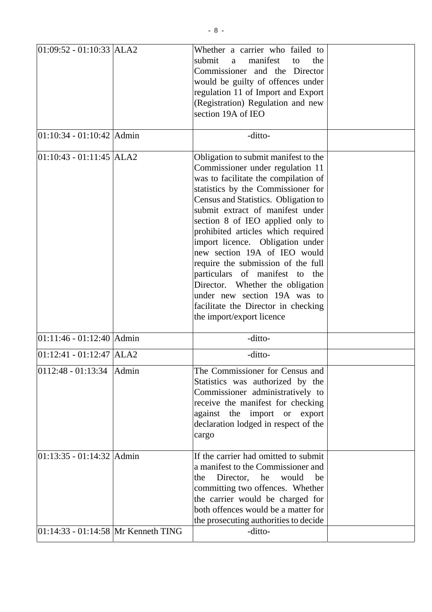| 01:09:52 - 01:10:33 ALA2            | Whether a carrier who failed to<br>submit<br>manifest<br>the<br>a<br>to<br>Commissioner and the Director<br>would be guilty of offences under<br>regulation 11 of Import and Export<br>(Registration) Regulation and new<br>section 19A of IEO                                                                                                                                                                                                                                                                                                                                                   |  |
|-------------------------------------|--------------------------------------------------------------------------------------------------------------------------------------------------------------------------------------------------------------------------------------------------------------------------------------------------------------------------------------------------------------------------------------------------------------------------------------------------------------------------------------------------------------------------------------------------------------------------------------------------|--|
| 01:10:34 - 01:10:42 Admin           | -ditto-                                                                                                                                                                                                                                                                                                                                                                                                                                                                                                                                                                                          |  |
| $[01:10:43 - 01:11:45$ ALA2         | Obligation to submit manifest to the<br>Commissioner under regulation 11<br>was to facilitate the compilation of<br>statistics by the Commissioner for<br>Census and Statistics. Obligation to<br>submit extract of manifest under<br>section 8 of IEO applied only to<br>prohibited articles which required<br>import licence. Obligation under<br>new section 19A of IEO would<br>require the submission of the full<br>particulars of manifest to the<br>Director. Whether the obligation<br>under new section 19A was to<br>facilitate the Director in checking<br>the import/export licence |  |
| 01:11:46 - 01:12:40 Admin           | -ditto-                                                                                                                                                                                                                                                                                                                                                                                                                                                                                                                                                                                          |  |
| 01:12:41 - 01:12:47 ALA2            | -ditto-                                                                                                                                                                                                                                                                                                                                                                                                                                                                                                                                                                                          |  |
| $ 0112:48 - 01:13:34$ Admin         | The Commissioner for Census and<br>Statistics was authorized by the<br>Commissioner administratively to<br>receive the manifest for checking<br>against the<br>import<br><b>or</b><br>export<br>declaration lodged in respect of the<br>cargo                                                                                                                                                                                                                                                                                                                                                    |  |
| 01:13:35 - 01:14:32 Admin           | If the carrier had omitted to submit<br>a manifest to the Commissioner and<br>Director,<br>he<br>would<br>be<br>the<br>committing two offences. Whether<br>the carrier would be charged for<br>both offences would be a matter for<br>the prosecuting authorities to decide                                                                                                                                                                                                                                                                                                                      |  |
| 01:14:33 - 01:14:58 Mr Kenneth TING | -ditto-                                                                                                                                                                                                                                                                                                                                                                                                                                                                                                                                                                                          |  |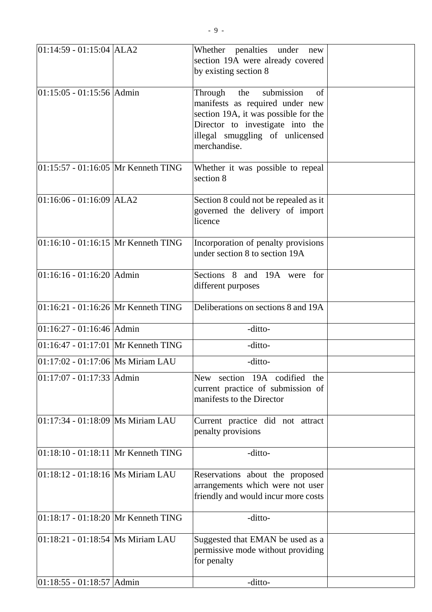| $ 01:14:59 - 01:15:04$ ALA2             | Whether penalties under<br>new<br>section 19A were already covered<br>by existing section 8                                                                                                          |  |
|-----------------------------------------|------------------------------------------------------------------------------------------------------------------------------------------------------------------------------------------------------|--|
| 01:15:05 - 01:15:56 Admin               | submission<br>the<br>of<br>Through<br>manifests as required under new<br>section 19A, it was possible for the<br>Director to investigate into the<br>illegal smuggling of unlicensed<br>merchandise. |  |
| 01:15:57 - 01:16:05 Mr Kenneth TING     | Whether it was possible to repeal<br>section 8                                                                                                                                                       |  |
| $01:16:06 - 01:16:09$ ALA2              | Section 8 could not be repealed as it<br>governed the delivery of import<br>licence                                                                                                                  |  |
| $01:16:10 - 01:16:15$ Mr Kenneth TING   | Incorporation of penalty provisions<br>under section 8 to section 19A                                                                                                                                |  |
| $01:16:16 - 01:16:20$ Admin             | Sections 8 and 19A were for<br>different purposes                                                                                                                                                    |  |
| $01:16:21 - 01:16:26$ Mr Kenneth TING   | Deliberations on sections 8 and 19A                                                                                                                                                                  |  |
| $01:16:27 - 01:16:46$ Admin             | -ditto-                                                                                                                                                                                              |  |
| 01:16:47 - 01:17:01 Mr Kenneth TING     | -ditto-                                                                                                                                                                                              |  |
| 01:17:02 - 01:17:06   Ms Miriam LAU     | -ditto-                                                                                                                                                                                              |  |
| $01:17:07 - 01:17:33$ Admin             | New section 19A codified the<br>current practice of submission of<br>manifests to the Director                                                                                                       |  |
| $ 01:17:34 - 01:18:09$ Ms Miriam LAU    | Current practice did not attract<br>penalty provisions                                                                                                                                               |  |
| $01:18:10 - 01:18:11$ Mr Kenneth TING   | -ditto-                                                                                                                                                                                              |  |
| $01:18:12 - 01:18:16$ Ms Miriam LAU     | Reservations about the proposed<br>arrangements which were not user<br>friendly and would incur more costs                                                                                           |  |
| $ 01:18:17 - 01:18:20 $ Mr Kenneth TING | -ditto-                                                                                                                                                                                              |  |
| 01:18:21 - 01:18:54   Ms Miriam LAU     | Suggested that EMAN be used as a<br>permissive mode without providing<br>for penalty                                                                                                                 |  |
| $ 01:18:55 - 01:18:57 $ Admin           | -ditto-                                                                                                                                                                                              |  |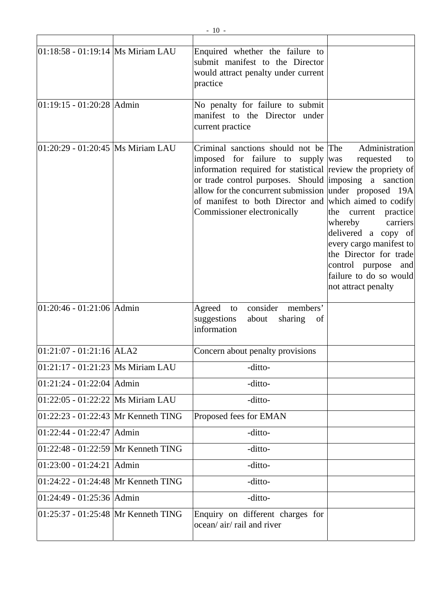| 01:18:58 - 01:19:14  Ms Miriam LAU    | Enquired whether the failure to<br>submit manifest to the Director<br>would attract penalty under current<br>practice                                                                                                                                                                                                                                 |                                                                                                                                                                                                                                      |
|---------------------------------------|-------------------------------------------------------------------------------------------------------------------------------------------------------------------------------------------------------------------------------------------------------------------------------------------------------------------------------------------------------|--------------------------------------------------------------------------------------------------------------------------------------------------------------------------------------------------------------------------------------|
| 01:19:15 - 01:20:28 Admin             | No penalty for failure to submit<br>manifest to the Director under<br>current practice                                                                                                                                                                                                                                                                |                                                                                                                                                                                                                                      |
| 01:20:29 - 01:20:45  Ms Miriam LAU    | Criminal sanctions should not be The<br>imposed for failure to supply was<br>information required for statistical review the propriety of<br>or trade control purposes. Should imposing a sanction<br>allow for the concurrent submission under proposed 19A<br>of manifest to both Director and which aimed to codify<br>Commissioner electronically | Administration<br>requested<br>to<br>the current practice<br>carriers<br>whereby<br>delivered a copy of<br>every cargo manifest to<br>the Director for trade<br>control purpose and<br>failure to do so would<br>not attract penalty |
| 01:20:46 - 01:21:06 Admin             | consider members'<br>Agreed to<br>sharing<br>suggestions<br>about<br>of<br>information                                                                                                                                                                                                                                                                |                                                                                                                                                                                                                                      |
| $01:21:07 - 01:21:16$ ALA2            | Concern about penalty provisions                                                                                                                                                                                                                                                                                                                      |                                                                                                                                                                                                                                      |
| 01:21:17 - 01:21:23  Ms Miriam LAU    | -ditto-                                                                                                                                                                                                                                                                                                                                               |                                                                                                                                                                                                                                      |
| $01:21:24 - 01:22:04$ Admin           | -ditto-                                                                                                                                                                                                                                                                                                                                               |                                                                                                                                                                                                                                      |
| 01:22:05 - 01:22:22 Ms Miriam LAU     | -ditto-                                                                                                                                                                                                                                                                                                                                               |                                                                                                                                                                                                                                      |
| $01:22:23 - 01:22:43$ Mr Kenneth TING | Proposed fees for EMAN                                                                                                                                                                                                                                                                                                                                |                                                                                                                                                                                                                                      |
| 01:22:44 - 01:22:47 Admin             | -ditto-                                                                                                                                                                                                                                                                                                                                               |                                                                                                                                                                                                                                      |
| $01:22:48 - 01:22:59$ Mr Kenneth TING | -ditto-                                                                                                                                                                                                                                                                                                                                               |                                                                                                                                                                                                                                      |
| 01:23:00 - 01:24:21 Admin             | -ditto-                                                                                                                                                                                                                                                                                                                                               |                                                                                                                                                                                                                                      |
| 01:24:22 - 01:24:48 Mr Kenneth TING   | -ditto-                                                                                                                                                                                                                                                                                                                                               |                                                                                                                                                                                                                                      |
| 01:24:49 - 01:25:36 Admin             | -ditto-                                                                                                                                                                                                                                                                                                                                               |                                                                                                                                                                                                                                      |
| 01:25:37 - 01:25:48 Mr Kenneth TING   | Enquiry on different charges for<br>ocean/ air/ rail and river                                                                                                                                                                                                                                                                                        |                                                                                                                                                                                                                                      |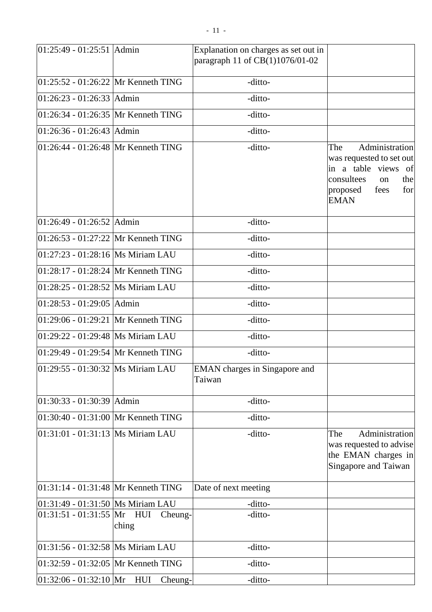| $01:25:49 - 01:25:51$ Admin             |                         | Explanation on charges as set out in<br>paragraph 11 of CB(1)1076/01-02 |                                                                                                                                               |
|-----------------------------------------|-------------------------|-------------------------------------------------------------------------|-----------------------------------------------------------------------------------------------------------------------------------------------|
| $[01:25:52 - 01:26:22]$ Mr Kenneth TING |                         | -ditto-                                                                 |                                                                                                                                               |
| $ 01:26:23 - 01:26:33 $ Admin           |                         | -ditto-                                                                 |                                                                                                                                               |
| 01:26:34 - 01:26:35 Mr Kenneth TING     |                         | -ditto-                                                                 |                                                                                                                                               |
| $ 01:26:36 - 01:26:43 $ Admin           |                         | -ditto-                                                                 |                                                                                                                                               |
| 01:26:44 - 01:26:48 Mr Kenneth TING     |                         | -ditto-                                                                 | Administration<br>The<br>was requested to set out<br>in a table views of<br>consultees<br>the<br>on<br>for<br>proposed<br>fees<br><b>EMAN</b> |
| $01:26:49 - 01:26:52$ Admin             |                         | -ditto-                                                                 |                                                                                                                                               |
| $01:26:53 - 01:27:22$ Mr Kenneth TING   |                         | -ditto-                                                                 |                                                                                                                                               |
| 01:27:23 - 01:28:16   Ms Miriam LAU     |                         | -ditto-                                                                 |                                                                                                                                               |
| $[01:28:17 - 01:28:24]$ Mr Kenneth TING |                         | -ditto-                                                                 |                                                                                                                                               |
| 01:28:25 - 01:28:52 Ms Miriam LAU       |                         | -ditto-                                                                 |                                                                                                                                               |
| 01:28:53 - 01:29:05   Admin             |                         | -ditto-                                                                 |                                                                                                                                               |
| 01:29:06 - 01:29:21 Mr Kenneth TING     |                         | -ditto-                                                                 |                                                                                                                                               |
| 01:29:22 - 01:29:48   Ms Miriam LAU     |                         | -ditto-                                                                 |                                                                                                                                               |
| $[01:29:49 - 01:29:54]$ Mr Kenneth TING |                         | -ditto-                                                                 |                                                                                                                                               |
| $01:29:55 - 01:30:32$ Ms Miriam LAU     |                         | EMAN charges in Singapore and<br>Taiwan                                 |                                                                                                                                               |
| $ 01:30:33 - 01:30:39 $ Admin           |                         | -ditto-                                                                 |                                                                                                                                               |
| 01:30:40 - 01:31:00 Mr Kenneth TING     |                         | -ditto-                                                                 |                                                                                                                                               |
| 01:31:01 - 01:31:13  Ms Miriam LAU      |                         | -ditto-                                                                 | Administration<br>The<br>was requested to advise<br>the EMAN charges in<br>Singapore and Taiwan                                               |
| 01:31:14 - 01:31:48 Mr Kenneth TING     |                         | Date of next meeting                                                    |                                                                                                                                               |
| 01:31:49 - 01:31:50  Ms Miriam LAU      |                         | -ditto-                                                                 |                                                                                                                                               |
| $01:31:51 - 01:31:55$ Mr                | HUI<br>Cheung-<br>ching | -ditto-                                                                 |                                                                                                                                               |
| 01:31:56 - 01:32:58   Ms Miriam LAU     |                         | -ditto-                                                                 |                                                                                                                                               |
| 01:32:59 - 01:32:05 Mr Kenneth TING     |                         | -ditto-                                                                 |                                                                                                                                               |
| $[01:32:06 - 01:32:10]$ Mr HUI          | Cheung-                 | -ditto-                                                                 |                                                                                                                                               |